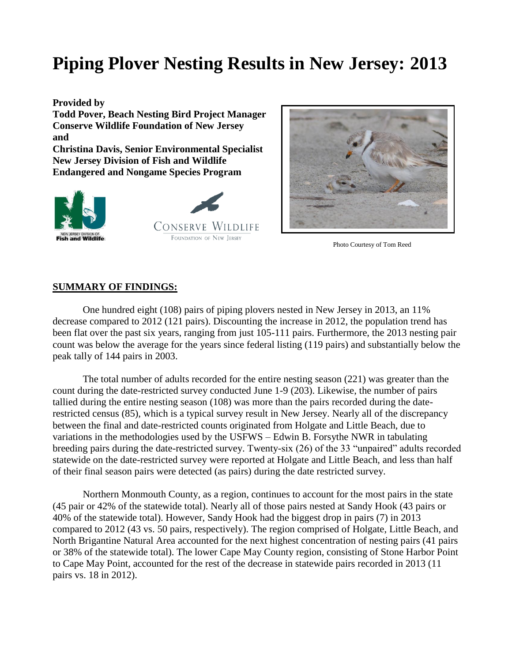# **Piping Plover Nesting Results in New Jersey: 2013**

**Provided by Todd Pover, Beach Nesting Bird Project Manager Conserve Wildlife Foundation of New Jersey and Christina Davis, Senior Environmental Specialist New Jersey Division of Fish and Wildlife Endangered and Nongame Species Program**

**CONSERVE WILDLIFE** 

FOUNDATION OF NEW JERSEY



Photo Courtesy of Tom Reed

#### **SUMMARY OF FINDINGS:**

**Fish and Wildlife** 

One hundred eight (108) pairs of piping plovers nested in New Jersey in 2013, an 11% decrease compared to 2012 (121 pairs). Discounting the increase in 2012, the population trend has been flat over the past six years, ranging from just 105-111 pairs. Furthermore, the 2013 nesting pair count was below the average for the years since federal listing (119 pairs) and substantially below the peak tally of 144 pairs in 2003.

The total number of adults recorded for the entire nesting season (221) was greater than the count during the date-restricted survey conducted June 1-9 (203). Likewise, the number of pairs tallied during the entire nesting season (108) was more than the pairs recorded during the daterestricted census (85), which is a typical survey result in New Jersey. Nearly all of the discrepancy between the final and date-restricted counts originated from Holgate and Little Beach, due to variations in the methodologies used by the USFWS – Edwin B. Forsythe NWR in tabulating breeding pairs during the date-restricted survey. Twenty-six (26) of the 33 "unpaired" adults recorded statewide on the date-restricted survey were reported at Holgate and Little Beach, and less than half of their final season pairs were detected (as pairs) during the date restricted survey.

Northern Monmouth County, as a region, continues to account for the most pairs in the state (45 pair or 42% of the statewide total). Nearly all of those pairs nested at Sandy Hook (43 pairs or 40% of the statewide total). However, Sandy Hook had the biggest drop in pairs (7) in 2013 compared to 2012 (43 vs. 50 pairs, respectively). The region comprised of Holgate, Little Beach, and North Brigantine Natural Area accounted for the next highest concentration of nesting pairs (41 pairs or 38% of the statewide total). The lower Cape May County region, consisting of Stone Harbor Point to Cape May Point, accounted for the rest of the decrease in statewide pairs recorded in 2013 (11 pairs vs. 18 in 2012).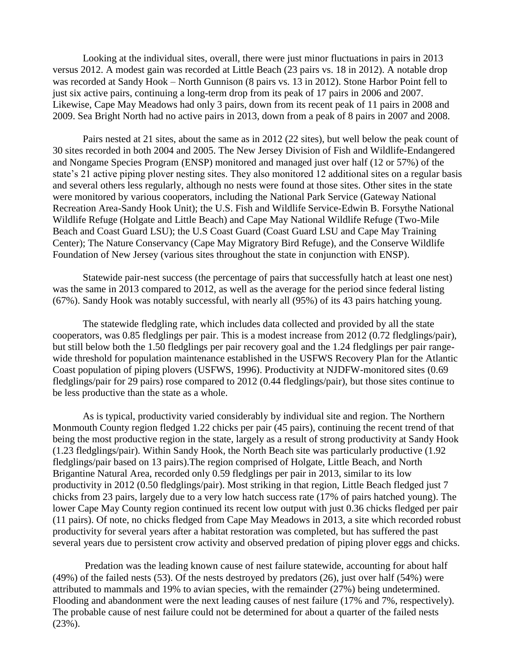Looking at the individual sites, overall, there were just minor fluctuations in pairs in 2013 versus 2012. A modest gain was recorded at Little Beach (23 pairs vs. 18 in 2012). A notable drop was recorded at Sandy Hook – North Gunnison (8 pairs vs. 13 in 2012). Stone Harbor Point fell to just six active pairs, continuing a long-term drop from its peak of 17 pairs in 2006 and 2007. Likewise, Cape May Meadows had only 3 pairs, down from its recent peak of 11 pairs in 2008 and 2009. Sea Bright North had no active pairs in 2013, down from a peak of 8 pairs in 2007 and 2008.

Pairs nested at 21 sites, about the same as in 2012 (22 sites), but well below the peak count of 30 sites recorded in both 2004 and 2005. The New Jersey Division of Fish and Wildlife-Endangered and Nongame Species Program (ENSP) monitored and managed just over half (12 or 57%) of the state's 21 active piping plover nesting sites. They also monitored 12 additional sites on a regular basis and several others less regularly, although no nests were found at those sites. Other sites in the state were monitored by various cooperators, including the National Park Service (Gateway National Recreation Area-Sandy Hook Unit); the U.S. Fish and Wildlife Service-Edwin B. Forsythe National Wildlife Refuge (Holgate and Little Beach) and Cape May National Wildlife Refuge (Two-Mile Beach and Coast Guard LSU); the U.S Coast Guard (Coast Guard LSU and Cape May Training Center); The Nature Conservancy (Cape May Migratory Bird Refuge), and the Conserve Wildlife Foundation of New Jersey (various sites throughout the state in conjunction with ENSP).

Statewide pair-nest success (the percentage of pairs that successfully hatch at least one nest) was the same in 2013 compared to 2012, as well as the average for the period since federal listing (67%). Sandy Hook was notably successful, with nearly all (95%) of its 43 pairs hatching young.

The statewide fledgling rate, which includes data collected and provided by all the state cooperators, was 0.85 fledglings per pair. This is a modest increase from 2012 (0.72 fledglings/pair), but still below both the 1.50 fledglings per pair recovery goal and the 1.24 fledglings per pair rangewide threshold for population maintenance established in the USFWS Recovery Plan for the Atlantic Coast population of piping plovers (USFWS, 1996). Productivity at NJDFW-monitored sites (0.69 fledglings/pair for 29 pairs) rose compared to 2012 (0.44 fledglings/pair), but those sites continue to be less productive than the state as a whole.

As is typical, productivity varied considerably by individual site and region. The Northern Monmouth County region fledged 1.22 chicks per pair (45 pairs), continuing the recent trend of that being the most productive region in the state, largely as a result of strong productivity at Sandy Hook (1.23 fledglings/pair). Within Sandy Hook, the North Beach site was particularly productive (1.92 fledglings/pair based on 13 pairs).The region comprised of Holgate, Little Beach, and North Brigantine Natural Area, recorded only 0.59 fledglings per pair in 2013, similar to its low productivity in 2012 (0.50 fledglings/pair). Most striking in that region, Little Beach fledged just 7 chicks from 23 pairs, largely due to a very low hatch success rate (17% of pairs hatched young). The lower Cape May County region continued its recent low output with just 0.36 chicks fledged per pair (11 pairs). Of note, no chicks fledged from Cape May Meadows in 2013, a site which recorded robust productivity for several years after a habitat restoration was completed, but has suffered the past several years due to persistent crow activity and observed predation of piping plover eggs and chicks.

Predation was the leading known cause of nest failure statewide, accounting for about half (49%) of the failed nests (53). Of the nests destroyed by predators (26), just over half (54%) were attributed to mammals and 19% to avian species, with the remainder (27%) being undetermined. Flooding and abandonment were the next leading causes of nest failure (17% and 7%, respectively). The probable cause of nest failure could not be determined for about a quarter of the failed nests (23%).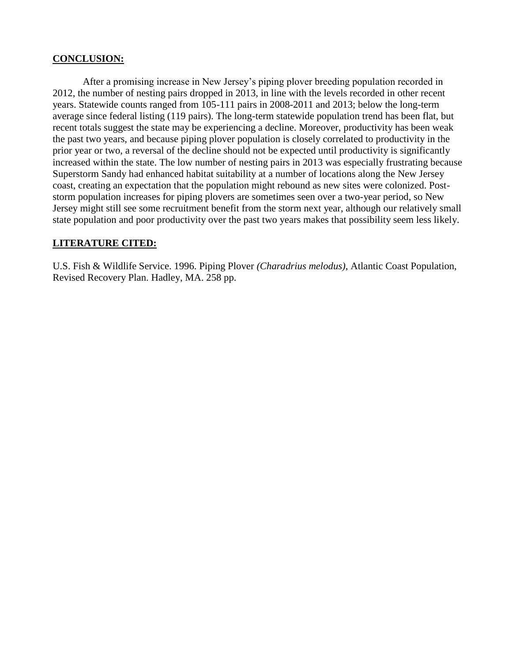#### **CONCLUSION:**

After a promising increase in New Jersey's piping plover breeding population recorded in 2012, the number of nesting pairs dropped in 2013, in line with the levels recorded in other recent years. Statewide counts ranged from 105-111 pairs in 2008-2011 and 2013; below the long-term average since federal listing (119 pairs). The long-term statewide population trend has been flat, but recent totals suggest the state may be experiencing a decline. Moreover, productivity has been weak the past two years, and because piping plover population is closely correlated to productivity in the prior year or two, a reversal of the decline should not be expected until productivity is significantly increased within the state. The low number of nesting pairs in 2013 was especially frustrating because Superstorm Sandy had enhanced habitat suitability at a number of locations along the New Jersey coast, creating an expectation that the population might rebound as new sites were colonized. Poststorm population increases for piping plovers are sometimes seen over a two-year period, so New Jersey might still see some recruitment benefit from the storm next year, although our relatively small state population and poor productivity over the past two years makes that possibility seem less likely.

### **LITERATURE CITED:**

U.S. Fish & Wildlife Service. 1996. Piping Plover *(Charadrius melodus)*, Atlantic Coast Population, Revised Recovery Plan. Hadley, MA. 258 pp.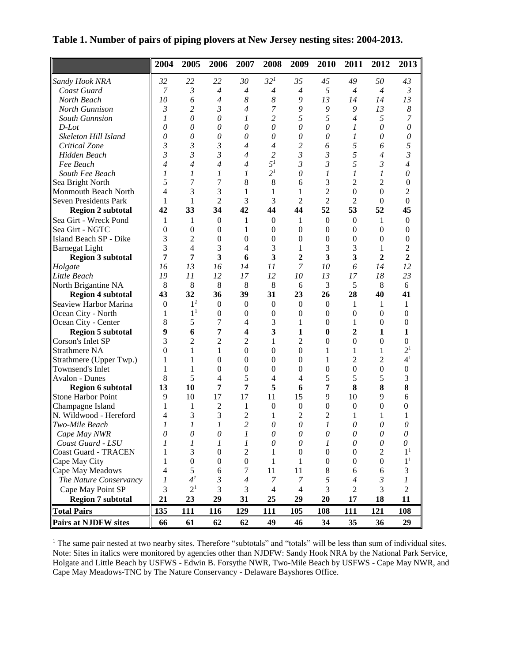|  |  |  | Table 1. Number of pairs of piping plovers at New Jersey nesting sites: 2004-2013. |  |
|--|--|--|------------------------------------------------------------------------------------|--|
|  |  |  |                                                                                    |  |

|                                   | 2004             | 2005                  | 2006                    | 2007                             | 2008             | 2009             | 2010                  | 2011                  | 2012                  | 2013                      |
|-----------------------------------|------------------|-----------------------|-------------------------|----------------------------------|------------------|------------------|-----------------------|-----------------------|-----------------------|---------------------------|
| Sandy Hook NRA                    | 32               | 22                    | 22                      | 30                               | 32 <sup>1</sup>  | 35               | 45                    | 49                    | 50                    | 43                        |
| Coast Guard                       | $\boldsymbol{7}$ | $\mathfrak{Z}$        | $\overline{4}$          | $\overline{4}$                   | $\overline{4}$   | $\overline{4}$   | 5                     | $\overline{4}$        | $\overline{4}$        | $\mathfrak{Z}$            |
| North Beach                       | 10               | 6                     | $\overline{4}$          | 8                                | $\boldsymbol{8}$ | 9                | 13                    | 14                    | 14                    | 13                        |
| North Gunnison                    | 3                | 2                     | $\mathfrak{Z}$          | $\overline{4}$                   | 7                | 9                | 9                     | 9                     | 13                    | 8                         |
| <b>South Gunnsion</b>             | 1                | $\theta$              | $\boldsymbol{\theta}$   | 1                                | 2                | 5                | 5                     | 4                     | 5                     | 7                         |
| $D$ -Lot                          | $\theta$         | $\theta$              | $\theta$                | $\theta$                         | $\theta$         | $\theta$         | $\theta$              | 1                     | $\theta$              | $\theta$                  |
| Skeleton Hill Island              | 0                | $\theta$              | $\theta$                | $\theta$                         | $\theta$         | $\theta$         | $\theta$              | 1                     | $\theta$              | 0                         |
| Critical Zone                     | $\mathfrak{Z}$   | 3                     | $\mathfrak{Z}$          | 4                                | $\overline{4}$   | $\overline{c}$   | 6                     | 5                     | 6                     | 5                         |
| Hidden Beach                      | $\mathfrak{Z}$   | 3                     | $\mathfrak{Z}$          | $\overline{4}$                   | $\overline{c}$   | $\mathfrak{Z}$   | 3                     | 5                     | $\overline{4}$        | $\overline{\mathfrak{z}}$ |
| Fee Beach                         | 4                | 4                     | $\overline{4}$          | $\overline{4}$                   | 5 <sup>1</sup>   | 3                | $\mathfrak{Z}$        | 5                     | $\mathfrak{Z}$        | $\overline{4}$            |
| South Fee Beach                   | 1                | 1                     | 1                       | 1                                | 2 <sup>1</sup>   | $\theta$         | 1                     | 1                     | 1                     | $\theta$                  |
| Sea Bright North                  | 5                | 7                     | 7                       | 8                                | 8                | 6                | 3                     | 2                     | 2                     | $\mathbf{0}$              |
| Monmouth Beach North              | $\overline{4}$   | 3                     | 3                       | 1                                | 1                | 1                | $\overline{2}$        | $\theta$              | $\Omega$              | $\overline{2}$            |
| Seven Presidents Park             | $\mathbf{1}$     | 1                     | $\overline{2}$          | 3                                | 3                | $\overline{c}$   | $\overline{2}$        | $\overline{c}$        | $\boldsymbol{0}$      | $\overline{0}$            |
| <b>Region 2 subtotal</b>          | 42               | 33                    | 34                      | 42                               | 44               | 44               | 52                    | 53                    | 52                    | 45                        |
| Sea Girt - Wreck Pond             | $\mathbf{1}$     | $\mathbf{1}$          | $\overline{0}$          | 1                                | $\boldsymbol{0}$ | 1                | $\boldsymbol{0}$      | $\boldsymbol{0}$      | 1                     | $\boldsymbol{0}$          |
| Sea Girt - NGTC                   | $\mathbf{0}$     | $\mathbf{0}$          | $\mathbf{0}$            | 1                                | $\boldsymbol{0}$ | $\mathbf{0}$     | $\boldsymbol{0}$      | $\boldsymbol{0}$      | $\boldsymbol{0}$      | $\boldsymbol{0}$          |
| Island Beach SP - Dike            | 3                | $\overline{c}$        | $\mathbf{0}$            | $\overline{0}$                   | $\boldsymbol{0}$ | $\mathbf{0}$     | $\boldsymbol{0}$      | $\boldsymbol{0}$      | $\theta$              | $\overline{0}$            |
| <b>Barnegat Light</b>             | 3                | $\overline{4}$        | 3                       | 4                                | 3                | $\mathbf{1}$     | 3                     | 3                     | 1                     | $\overline{2}$            |
| <b>Region 3 subtotal</b>          | $\overline{7}$   | 7                     | $\overline{\mathbf{3}}$ | 6                                | 3                | $\overline{2}$   | 3                     | 3                     | 2                     | $\overline{2}$            |
| Holgate                           | 16               | 13                    | 16                      | 14                               | 11               | 7                | 10                    | 6                     | 14                    | 12                        |
| Little Beach                      | 19               | 11                    | 12                      | 17                               | 12               | 10               | 13                    | 17                    | 18                    | 23                        |
| North Brigantine NA               | 8                | 8                     | 8                       | 8                                | 8                | 6                | 3                     | 5                     | 8                     | 6                         |
| <b>Region 4 subtotal</b>          | 43               | 32                    | 36                      | 39                               | 31               | 23               | 26                    | 28                    | 40                    | 41                        |
| Seaview Harbor Marina             | $\boldsymbol{0}$ | 1 <sup>I</sup>        | $\overline{0}$          | $\mathbf{0}$                     | $\boldsymbol{0}$ | $\theta$         | $\mathbf{0}$          | 1                     | 1                     | 1                         |
| Ocean City - North                | 1                | 1 <sup>1</sup>        | $\boldsymbol{0}$        | $\boldsymbol{0}$                 | $\boldsymbol{0}$ | $\overline{0}$   | $\boldsymbol{0}$      | $\boldsymbol{0}$      | $\theta$              | $\theta$                  |
| Ocean City - Center               | 8                | 5                     | 7                       | 4                                | 3                | 1                | $\boldsymbol{0}$      | 1                     | $\theta$              | $\overline{0}$            |
| <b>Region 5 subtotal</b>          | 9                | 6                     | 7                       | $\overline{\mathbf{4}}$          | 3                | 1                | $\mathbf{0}$          | $\overline{2}$        | 1                     | 1                         |
| Corson's Inlet SP                 | 3                | $\overline{2}$        | $\overline{c}$          | $\overline{c}$                   | 1                | $\overline{c}$   | $\boldsymbol{0}$      | $\boldsymbol{0}$      | $\boldsymbol{0}$      | $\boldsymbol{0}$          |
| <b>Strathmere NA</b>              | $\mathbf{0}$     | 1                     | 1                       | $\boldsymbol{0}$                 | $\boldsymbol{0}$ | $\boldsymbol{0}$ | 1                     | 1                     | 1                     | 2 <sup>1</sup>            |
| Strathmere (Upper Twp.)           | 1                | 1                     | $\boldsymbol{0}$        | $\theta$                         | $\theta$         | $\mathbf{0}$     | 1                     | $\overline{2}$        | $\overline{c}$        | 4 <sup>1</sup>            |
| Townsend's Inlet                  | 1                | 1                     | $\mathbf{0}$            | $\overline{0}$                   | $\boldsymbol{0}$ | $\mathbf{0}$     | $\overline{0}$        | $\overline{0}$        | $\boldsymbol{0}$      | $\boldsymbol{0}$          |
| Avalon - Dunes                    | 8                | 5                     | 4                       | 5                                | $\overline{4}$   | 4                | 5                     | 5                     | 5                     | 3                         |
| <b>Region 6 subtotal</b>          | 13               | 10                    | 7                       | 7                                | 5                | 6                | 7                     | 8                     | 8                     | 8                         |
| <b>Stone Harbor Point</b>         | 9                | 10                    | 17                      | 17                               | 11               | 15               | 9                     | 10                    | 9                     | 6                         |
| Champagne Island                  | $\mathbf{1}$     | 1                     | $\overline{2}$          | 1                                | $\overline{0}$   | $\boldsymbol{0}$ | $\boldsymbol{0}$      | $\boldsymbol{0}$      | $\boldsymbol{0}$      | 0                         |
| N. Wildwood - Hereford            | $\overline{4}$   | 3                     | 3                       | $\overline{c}$                   | $\mathbf{1}$     | 2                | $\overline{c}$        | $\mathbf{1}$          | 1                     | 1                         |
| $ Two\text{-}Mile Beach$          | $\mathcal{I}$    | 1                     | 1                       | $\overline{c}$                   | $\theta$         | 0                | $\mathcal{I}$         | 0                     | 0                     | 0                         |
| Cape May NWR                      | 0                | $\theta$              | $\theta$                | $\boldsymbol{l}$                 | 0                | 0                | 0                     | 0                     | 0                     | 0                         |
| Coast Guard - LSU                 | 1                | 1                     | 1                       | 1                                | 0                | 0                | 1                     | 0                     | $\theta$              | 0<br>1 <sup>1</sup>       |
| Coast Guard - TRACEN              | 1                | 3<br>$\boldsymbol{0}$ | $\boldsymbol{0}$        | $\mathbf{2}$<br>$\boldsymbol{0}$ | 1                | $\boldsymbol{0}$ | $\boldsymbol{0}$      | 0                     | 2                     | 1 <sup>1</sup>            |
| Cape May City<br>Cape May Meadows | 1<br>4           | 5                     | $\boldsymbol{0}$<br>6   | 7                                | 1<br>11          | 1<br>11          | $\boldsymbol{0}$<br>8 | $\boldsymbol{0}$<br>6 | $\boldsymbol{0}$<br>6 |                           |
| The Nature Conservancy            | 1                | 4 <sup>1</sup>        | 3                       | $\overline{4}$                   | 7                | 7                | 5                     | 4                     | 3                     | 3<br>1                    |
| Cape May Point SP                 | 3                | 2 <sup>1</sup>        | 3                       | 3                                | $\overline{4}$   | $\overline{4}$   | 3                     | $\overline{c}$        | 3                     | $\overline{2}$            |
| <b>Region 7 subtotal</b>          | 21               | 23                    | 29                      | 31                               | 25               | 29               | 20                    | 17                    | 18                    | 11                        |
| <b>Total Pairs</b>                | 135              | 111                   | 116                     | 129                              | 111              | 105              | 108                   | 111                   | 121                   | 108                       |
| <b>Pairs at NJDFW sites</b>       | 66               | 61                    | 62                      | 62                               | 49               | 46               | 34                    | 35                    | 36                    | 29                        |

<sup>1</sup> The same pair nested at two nearby sites. Therefore "subtotals" and "totals" will be less than sum of individual sites. Note: Sites in italics were monitored by agencies other than NJDFW: Sandy Hook NRA by the National Park Service, Holgate and Little Beach by USFWS - Edwin B. Forsythe NWR, Two-Mile Beach by USFWS - Cape May NWR, and Cape May Meadows-TNC by The Nature Conservancy - Delaware Bayshores Office.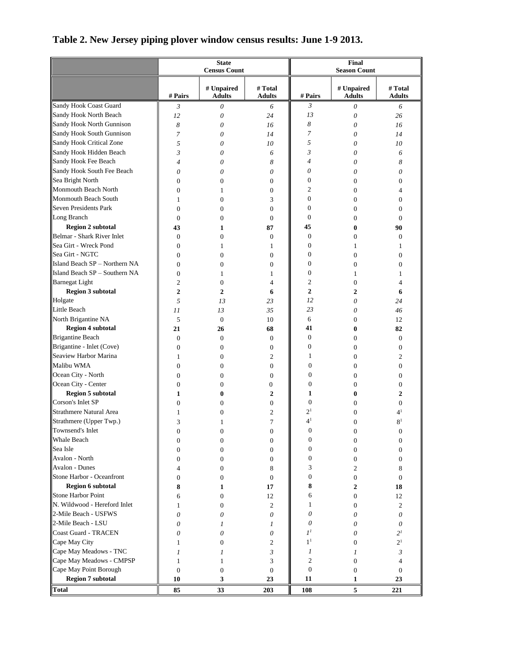|                               |                    | <b>State</b><br><b>Census Count</b> |                          | Final<br><b>Season Count</b> |                             |                          |  |
|-------------------------------|--------------------|-------------------------------------|--------------------------|------------------------------|-----------------------------|--------------------------|--|
|                               |                    |                                     |                          |                              |                             |                          |  |
|                               | # Pairs            | # Unpaired<br><b>Adults</b>         | # Total<br><b>Adults</b> | # Pairs                      | # Unpaired<br><b>Adults</b> | # Total<br><b>Adults</b> |  |
| Sandy Hook Coast Guard        | 3                  | 0                                   | 6                        | 3                            | 0                           | 6                        |  |
| Sandy Hook North Beach        | 12                 | $\theta$                            | 24                       | 13                           | $\theta$                    | 26                       |  |
| Sandy Hook North Gunnison     | 8                  | $\theta$                            | 16                       | 8                            | 0                           | 16                       |  |
| Sandy Hook South Gunnison     | $\overline{7}$     | 0                                   | 14                       | 7                            | 0                           | 14                       |  |
| Sandy Hook Critical Zone      | 5                  | 0                                   | 10                       | 5                            | 0                           | 10                       |  |
| Sandy Hook Hidden Beach       | 3                  | 0                                   | 6                        | 3                            | 0                           | 6                        |  |
| Sandy Hook Fee Beach          | $\overline{4}$     | 0                                   | 8                        | $\overline{4}$               | 0                           | 8                        |  |
| Sandy Hook South Fee Beach    | 0                  | 0                                   | 0                        | 0                            | 0                           | 0                        |  |
| Sea Bright North              | $\mathbf{0}$       | $\mathbf{0}$                        | $\mathbf{0}$             | $\boldsymbol{0}$             | $\overline{0}$              | $\overline{0}$           |  |
| Monmouth Beach North          | $\mathbf{0}$       | 1                                   | $\mathbf{0}$             | $\overline{2}$               | $\overline{0}$              | 4                        |  |
| Monmouth Beach South          | 1                  | $\mathbf{0}$                        | 3                        | $\boldsymbol{0}$             | $\overline{0}$              | 0                        |  |
| Seven Presidents Park         | $\mathbf{0}$       | $\mathbf{0}$                        | $\overline{0}$           | $\mathbf{0}$                 | $\overline{0}$              | 0                        |  |
| Long Branch                   | $\mathbf{0}$       | $\overline{0}$                      | $\overline{0}$           | $\boldsymbol{0}$             | $\overline{0}$              | 0                        |  |
| <b>Region 2 subtotal</b>      | 43                 | 1                                   | 87                       | 45                           | 0                           | 90                       |  |
| Belmar - Shark River Inlet    | $\mathbf{0}$       | $\mathbf{0}$                        | $\overline{0}$           | $\boldsymbol{0}$             | $\overline{0}$              | 0                        |  |
| Sea Girt - Wreck Pond         | $\mathbf{0}$       | 1                                   | 1                        | $\boldsymbol{0}$             | $\mathbf{1}$                | 1                        |  |
| <b>Sea Girt - NGTC</b>        | $\mathbf{0}$       | $\mathbf{0}$                        | $\overline{0}$           | $\boldsymbol{0}$             | $\overline{0}$              | 0                        |  |
| Island Beach SP - Northern NA | $\mathbf{0}$       | $\mathbf{0}$                        | $\overline{0}$           | $\boldsymbol{0}$             | $\overline{0}$              | 0                        |  |
| Island Beach SP - Southern NA | $\Omega$           | 1                                   | 1                        | $\theta$                     | 1                           | 1                        |  |
| <b>Barnegat</b> Light         | $\overline{c}$     | $\boldsymbol{0}$                    | 4                        | $\mathfrak{2}$               | $\overline{0}$              | 4                        |  |
| <b>Region 3 subtotal</b>      | $\overline{2}$     | $\overline{2}$                      | 6                        | $\overline{2}$               | $\overline{2}$              | 6                        |  |
| Holgate                       | 5                  | 13                                  | 23                       | 12                           | $\theta$                    | 24                       |  |
| Little Beach                  | 11                 | 13                                  | 35                       | 23                           | 0                           | 46                       |  |
| North Brigantine NA           | 5                  | $\mathbf{0}$                        | 10                       | 6                            | $\overline{0}$              | 12                       |  |
| <b>Region 4 subtotal</b>      | 21                 | 26                                  | 68                       | 41                           | 0                           | 82                       |  |
| Brigantine Beach              | $\mathbf{0}$       | $\mathbf{0}$                        | $\boldsymbol{0}$         | $\boldsymbol{0}$             | $\overline{0}$              | $\overline{0}$           |  |
| Brigantine - Inlet (Cove)     | $\mathbf{0}$       | $\mathbf{0}$                        | $\overline{0}$           | $\boldsymbol{0}$             | $\overline{0}$              | $\overline{0}$           |  |
| Seaview Harbor Marina         | 1                  | $\boldsymbol{0}$                    | 2                        | 1                            | 0                           | 2                        |  |
| Malibu WMA                    | $\mathbf{0}$       | $\mathbf{0}$                        | $\boldsymbol{0}$         | $\boldsymbol{0}$             | $\overline{0}$              | $\boldsymbol{0}$         |  |
| Ocean City - North            | $\mathbf{0}$       | $\mathbf{0}$                        | $\boldsymbol{0}$         | $\boldsymbol{0}$             | $\overline{0}$              | 0                        |  |
| Ocean City - Center           | $\mathbf{0}$       | $\mathbf{0}$                        | $\mathbf{0}$             | $\boldsymbol{0}$             | $\overline{0}$              | 0                        |  |
| <b>Region 5 subtotal</b>      | 1                  | 0                                   | $\overline{2}$           | 1                            | 0                           | $\overline{2}$           |  |
| Corson's Inlet SP             | $\mathbf{0}$       | $\mathbf{0}$                        | $\boldsymbol{0}$         | $\boldsymbol{0}$             | $\overline{0}$              | 0                        |  |
| Strathmere Natural Area       | 1                  | 0                                   | 2                        | 2 <sup>1</sup>               | $\overline{0}$              | 4 <sup>1</sup>           |  |
| Strathmere (Upper Twp.)       | 3                  |                                     | 7                        | 4 <sup>1</sup>               | 0                           | 8 <sup>1</sup>           |  |
| Townsend's Inlet              | $\boldsymbol{0}$   | 0                                   | 0                        | $\Omega$                     | 0                           | $\Omega$                 |  |
| Whale Beach                   | $\mathbf{0}$       | $\boldsymbol{0}$                    | $\boldsymbol{0}$         | $\boldsymbol{0}$             | 0                           | 0                        |  |
| Sea Isle                      | $\mathbf{0}$       | $\mathbf{0}$                        | $\mathbf{0}$             | 0                            | 0                           | 0                        |  |
| Avalon - North                | 0                  | $\mathbf{0}$                        | $\mathbf{0}$             | $\boldsymbol{0}$             | 0                           | $\overline{0}$           |  |
| Avalon - Dunes                | 4                  | $\boldsymbol{0}$                    | 8                        | 3                            | 2                           | 8                        |  |
| Stone Harbor - Oceanfront     | $\mathbf{0}$       | $\mathbf{0}$                        | $\overline{0}$           | $\boldsymbol{0}$             | $\boldsymbol{0}$            | $\mathbf{0}$             |  |
| <b>Region 6 subtotal</b>      | 8                  | 1                                   | 17                       | 8                            | 2                           | 18                       |  |
| Stone Harbor Point            | 6                  | $\mathbf{0}$                        | 12                       | 6                            | $\boldsymbol{0}$            | 12                       |  |
| N. Wildwood - Hereford Inlet  | 1                  | $\mathbf{0}$                        | $\mathfrak{2}$           | 1                            | $\overline{0}$              | 2                        |  |
| 2-Mile Beach - USFWS          | 0                  | 0                                   | 0                        | 0                            | 0                           | 0                        |  |
| 2-Mile Beach - LSU            | 0                  | 1                                   | 1                        | 0                            | 0                           | 0                        |  |
| Coast Guard - TRACEN          | 0                  | 0                                   | 0                        | $I^I$                        | 0                           | 2 <sup>I</sup>           |  |
| Cape May City                 | 1                  | $\mathbf{0}$                        | 2                        | 1 <sup>1</sup>               | $\overline{0}$              | 2 <sup>1</sup>           |  |
| Cape May Meadows - TNC        |                    |                                     | 3                        | 1                            |                             |                          |  |
| Cape May Meadows - CMPSP      | 1                  | 1                                   |                          | 2                            | 1                           | 3                        |  |
| Cape May Point Borough        | 1                  | 1                                   | 3                        | $\boldsymbol{0}$             | 0                           | 4                        |  |
| <b>Region 7 subtotal</b>      | $\mathbf{0}$<br>10 | $\boldsymbol{0}$<br>3               | $\boldsymbol{0}$<br>23   | 11                           | $\overline{0}$<br>1         | 0<br>23                  |  |
| <b>Total</b>                  |                    |                                     |                          |                              | 5                           |                          |  |
|                               | 85                 | 33                                  | 203                      | 108                          |                             | 221                      |  |

## **Table 2. New Jersey piping plover window census results: June 1-9 2013.**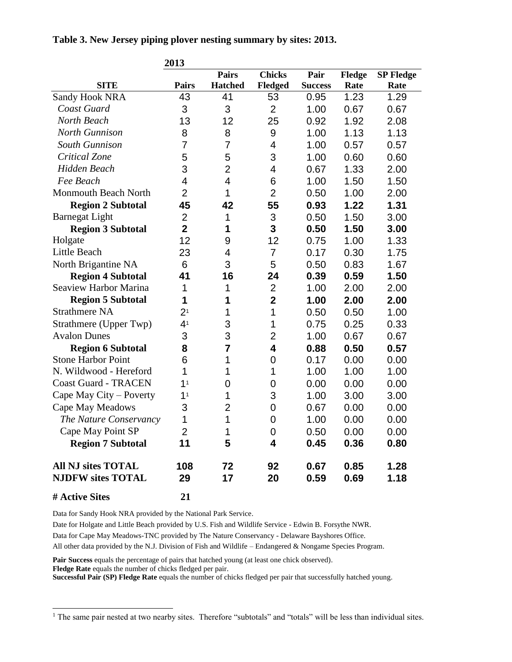**Table 3. New Jersey piping plover nesting summary by sites: 2013.**

|                                                       | 2013           |                |                  |                |              |                  |
|-------------------------------------------------------|----------------|----------------|------------------|----------------|--------------|------------------|
|                                                       |                | <b>Pairs</b>   | <b>Chicks</b>    | Pair           | Fledge       | <b>SP Fledge</b> |
| <b>SITE</b>                                           | <b>Pairs</b>   | <b>Hatched</b> | Fledged          | <b>Success</b> | Rate         | Rate             |
| Sandy Hook NRA                                        | 43             | 41             | 53               | 0.95           | 1.23         | 1.29             |
| Coast Guard                                           | 3              | 3              | $\overline{2}$   | 1.00           | 0.67         | 0.67             |
| North Beach                                           | 13             | 12             | 25               | 0.92           | 1.92         | 2.08             |
| <b>North Gunnison</b>                                 | 8              | 8              | 9                | 1.00           | 1.13         | 1.13             |
| South Gunnison                                        | 7              | $\overline{7}$ | 4                | 1.00           | 0.57         | 0.57             |
| Critical Zone                                         | 5              | 5              | 3                | 1.00           | 0.60         | 0.60             |
| <b>Hidden Beach</b>                                   | 3              | $\overline{2}$ | 4                | 0.67           | 1.33         | 2.00             |
| Fee Beach                                             | 4              | 4              | 6                | 1.00           | 1.50         | 1.50             |
| Monmouth Beach North                                  | $\overline{2}$ | 1              | $\overline{2}$   | 0.50           | 1.00         | 2.00             |
| <b>Region 2 Subtotal</b>                              | 45             | 42             | 55               | 0.93           | 1.22         | 1.31             |
| <b>Barnegat Light</b>                                 | 2              | 1              | 3                | 0.50           | 1.50         | 3.00             |
| <b>Region 3 Subtotal</b>                              | $\overline{2}$ | 1              | 3                | 0.50           | 1.50         | 3.00             |
| Holgate                                               | 12             | 9              | 12               | 0.75           | 1.00         | 1.33             |
| Little Beach                                          | 23             | 4              | 7                | 0.17           | 0.30         | 1.75             |
| North Brigantine NA                                   | 6              | 3              | 5                | 0.50           | 0.83         | 1.67             |
| <b>Region 4 Subtotal</b>                              | 41             | 16             | 24               | 0.39           | 0.59         | 1.50             |
| <b>Seaview Harbor Marina</b>                          | 1              | 1              | $\overline{2}$   | 1.00           | 2.00         | 2.00             |
| <b>Region 5 Subtotal</b>                              | 1              | 1              | $\mathbf{2}$     | 1.00           | 2.00         | 2.00             |
| <b>Strathmere NA</b>                                  | 2 <sup>1</sup> | 1              | 1                | 0.50           | 0.50         | 1.00             |
| Strathmere (Upper Twp)                                | 4 <sup>1</sup> | 3              | 1                | 0.75           | 0.25         | 0.33             |
| <b>Avalon Dunes</b>                                   | 3              | 3              | $\overline{2}$   | 1.00           | 0.67         | 0.67             |
| <b>Region 6 Subtotal</b>                              | 8              | $\overline{7}$ | 4                | 0.88           | 0.50         | 0.57             |
| <b>Stone Harbor Point</b>                             | 6              | 1              | 0                | 0.17           | 0.00         | 0.00             |
| N. Wildwood - Hereford                                | 1              | 1              | 1                | 1.00           | 1.00         | 1.00             |
| <b>Coast Guard - TRACEN</b>                           | 1 <sup>1</sup> | 0              | 0                | 0.00           | 0.00         | 0.00             |
| Cape May City – Poverty                               | 1 <sup>1</sup> | 1              | 3                | 1.00           | 3.00         | 3.00             |
| <b>Cape May Meadows</b>                               | 3              | 2              | 0                | 0.67           | 0.00         | 0.00             |
| The Nature Conservancy                                | 1              | 1              | 0                | 1.00           | 0.00         | 0.00             |
| Cape May Point SP                                     | $\overline{2}$ | 1              | $\boldsymbol{0}$ | 0.50           | 0.00         | 0.00             |
| <b>Region 7 Subtotal</b>                              | 11             | 5              | 4                | 0.45           | 0.36         | 0.80             |
| <b>All NJ sites TOTAL</b><br><b>NJDFW sites TOTAL</b> | 108<br>29      | 72<br>17       | 92<br>20         | 0.67<br>0.59   | 0.85<br>0.69 | 1.28<br>1.18     |
| # Active Sites                                        | 21             |                |                  |                |              |                  |

l

Data for Sandy Hook NRA provided by the National Park Service.

Date for Holgate and Little Beach provided by U.S. Fish and Wildlife Service - Edwin B. Forsythe NWR.

Data for Cape May Meadows-TNC provided by The Nature Conservancy - Delaware Bayshores Office.

All other data provided by the N.J. Division of Fish and Wildlife – Endangered & Nongame Species Program.

**Pair Success** equals the percentage of pairs that hatched young (at least one chick observed).

**Fledge Rate** equals the number of chicks fledged per pair.

**Successful Pair (SP) Fledge Rate** equals the number of chicks fledged per pair that successfully hatched young.

<sup>&</sup>lt;sup>1</sup> The same pair nested at two nearby sites. Therefore "subtotals" and "totals" will be less than individual sites.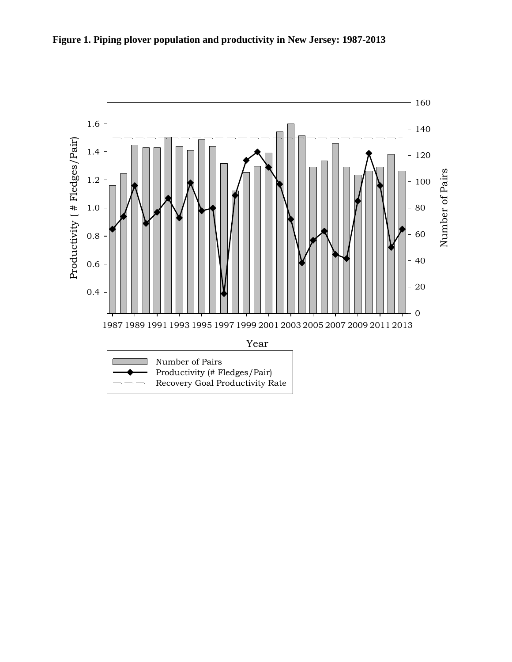